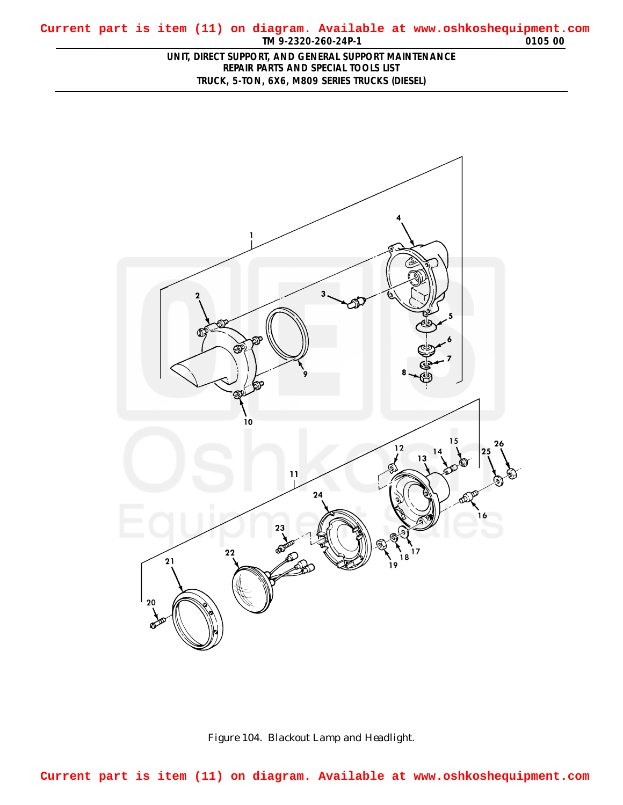## <span id="page-0-0"></span>**TM 9-2320-260-24P-1 0105 00 Current part is item (11) on diagram. Available at www.oshkoshequipment.com**

## **UNIT, DIRECT SUPPORT, AND GENERAL SUPPORT MAINTENANCE REPAIR PARTS AND SPECIAL TOOLS LIST TRUCK, 5-TON, 6X6, M809 SERIES TRUCKS (DIESEL)**





**Current part is item (11) on diagram. Available at www.oshkoshequipment.com**